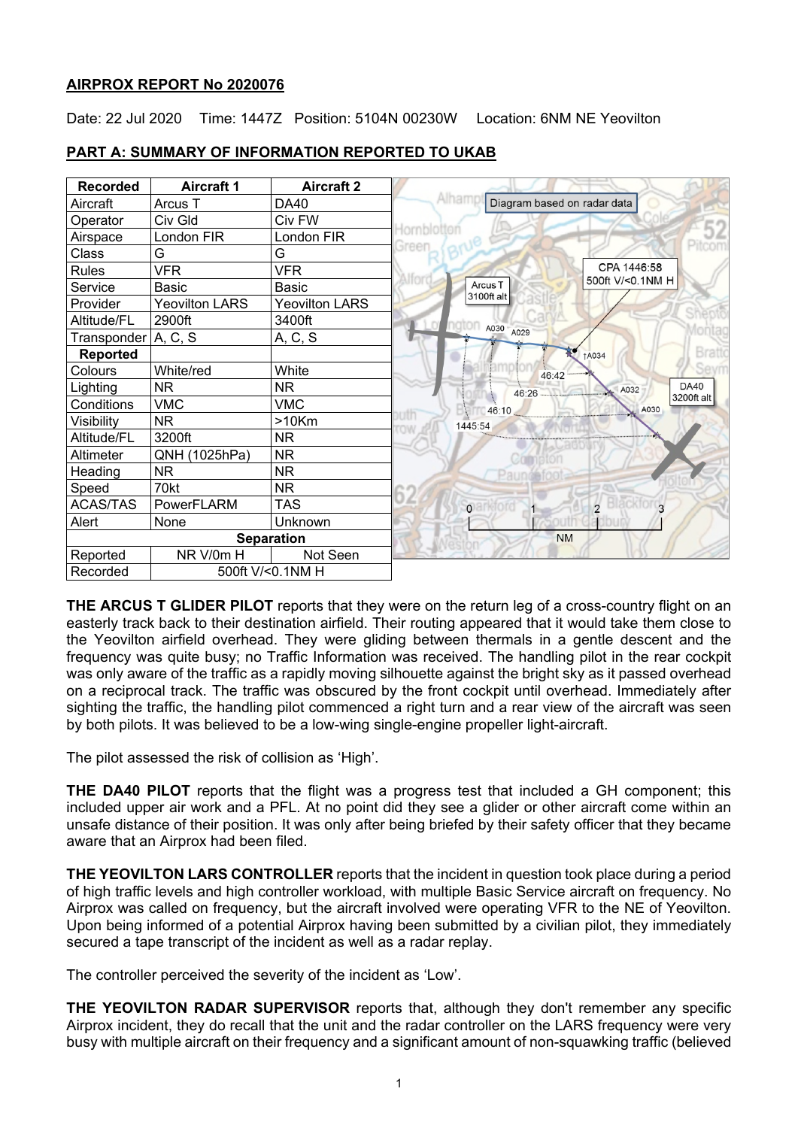## **AIRPROX REPORT No 2020076**

Date: 22 Jul 2020 Time: 1447Z Position: 5104N 00230W Location: 6NM NE Yeovilton

| <b>Recorded</b>       | <b>Aircraft 1</b>     | <b>Aircraft 2</b>     |                                                      |
|-----------------------|-----------------------|-----------------------|------------------------------------------------------|
| Aircraft              | Arcus T               | <b>DA40</b>           | Alham<br>Diagram based on radar data                 |
| Operator              | Civ Gld               | Civ FW                |                                                      |
| Airspace              | London FIR            | London FIR            | lornblotte                                           |
| Class                 | G                     | G                     | <b>Sreen</b>                                         |
| <b>Rules</b>          | <b>VFR</b>            | <b>VFR</b>            | CPA 1446:58                                          |
| Service               | Basic                 | <b>Basic</b>          | 500ft V/<0.1NM H<br>Arcus <sub>T</sub><br>3100ft alt |
| Provider              | <b>Yeovilton LARS</b> | <b>Yeovilton LARS</b> |                                                      |
| Altitude/FL           | 2900ft                | 3400ft                | naton                                                |
| Transponder   A, C, S |                       | A, C, S               | A030 A029                                            |
| <b>Reported</b>       |                       |                       | <b>1A034</b>                                         |
| Colours               | White/red             | White                 | 46:42                                                |
| Lighting              | NR                    | <b>NR</b>             | <b>DA40</b><br>A032<br>46:26                         |
| Conditions            | <b>VMC</b>            | <b>VMC</b>            | 3200ft alt<br>A030<br>46:10                          |
| Visibility            | <b>NR</b>             | $>10$ Km              | uth<br>1445:54                                       |
| Altitude/FL           | 3200ft                | <b>NR</b>             |                                                      |
| Altimeter             | QNH (1025hPa)         | <b>NR</b>             |                                                      |
| Heading               | <b>NR</b>             | <b>NR</b>             |                                                      |
| Speed                 | 70kt                  | <b>NR</b>             |                                                      |
| <b>ACAS/TAS</b>       | PowerFLARM            | <b>TAS</b>            | Blackford<br>$\overline{2}$<br>oarktord              |
| Alert                 | None                  | Unknown               |                                                      |
|                       |                       | <b>Separation</b>     | <b>NM</b>                                            |
| Reported              | NR V/0m H             | Not Seen              |                                                      |
| Recorded              |                       | 500ft V/<0.1NM H      |                                                      |

# **PART A: SUMMARY OF INFORMATION REPORTED TO UKAB**

**THE ARCUS T GLIDER PILOT** reports that they were on the return leg of a cross-country flight on an easterly track back to their destination airfield. Their routing appeared that it would take them close to the Yeovilton airfield overhead. They were gliding between thermals in a gentle descent and the frequency was quite busy; no Traffic Information was received. The handling pilot in the rear cockpit was only aware of the traffic as a rapidly moving silhouette against the bright sky as it passed overhead on a reciprocal track. The traffic was obscured by the front cockpit until overhead. Immediately after sighting the traffic, the handling pilot commenced a right turn and a rear view of the aircraft was seen by both pilots. It was believed to be a low-wing single-engine propeller light-aircraft.

The pilot assessed the risk of collision as 'High'.

**THE DA40 PILOT** reports that the flight was a progress test that included a GH component; this included upper air work and a PFL. At no point did they see a glider or other aircraft come within an unsafe distance of their position. It was only after being briefed by their safety officer that they became aware that an Airprox had been filed.

**THE YEOVILTON LARS CONTROLLER** reports that the incident in question took place during a period of high traffic levels and high controller workload, with multiple Basic Service aircraft on frequency. No Airprox was called on frequency, but the aircraft involved were operating VFR to the NE of Yeovilton. Upon being informed of a potential Airprox having been submitted by a civilian pilot, they immediately secured a tape transcript of the incident as well as a radar replay.

The controller perceived the severity of the incident as 'Low'.

**THE YEOVILTON RADAR SUPERVISOR** reports that, although they don't remember any specific Airprox incident, they do recall that the unit and the radar controller on the LARS frequency were very busy with multiple aircraft on their frequency and a significant amount of non-squawking traffic (believed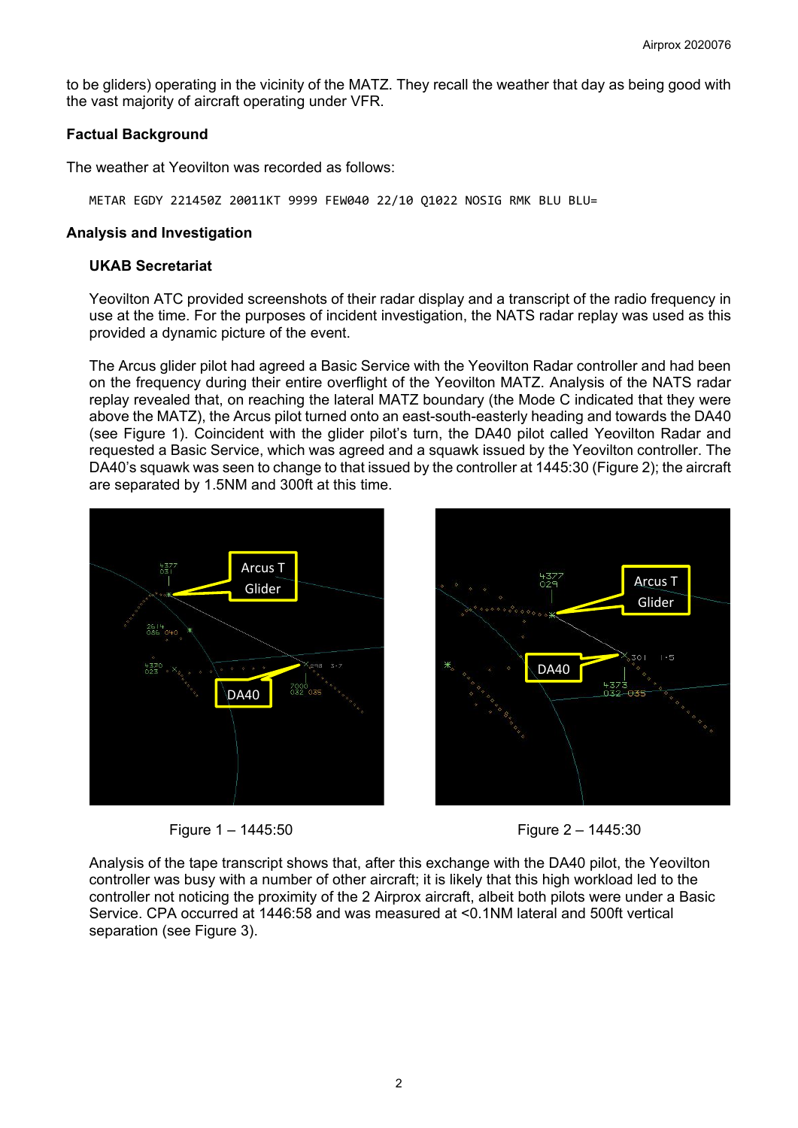to be gliders) operating in the vicinity of the MATZ. They recall the weather that day as being good with the vast majority of aircraft operating under VFR.

## **Factual Background**

The weather at Yeovilton was recorded as follows:

METAR EGDY 221450Z 20011KT 9999 FEW040 22/10 Q1022 NOSIG RMK BLU BLU=

## **Analysis and Investigation**

#### **UKAB Secretariat**

Yeovilton ATC provided screenshots of their radar display and a transcript of the radio frequency in use at the time. For the purposes of incident investigation, the NATS radar replay was used as this provided a dynamic picture of the event.

The Arcus glider pilot had agreed a Basic Service with the Yeovilton Radar controller and had been on the frequency during their entire overflight of the Yeovilton MATZ. Analysis of the NATS radar replay revealed that, on reaching the lateral MATZ boundary (the Mode C indicated that they were above the MATZ), the Arcus pilot turned onto an east-south-easterly heading and towards the DA40 (see Figure 1). Coincident with the glider pilot's turn, the DA40 pilot called Yeovilton Radar and requested a Basic Service, which was agreed and a squawk issued by the Yeovilton controller. The DA40's squawk was seen to change to that issued by the controller at 1445:30 (Figure 2); the aircraft are separated by 1.5NM and 300ft at this time.







Analysis of the tape transcript shows that, after this exchange with the DA40 pilot, the Yeovilton controller was busy with a number of other aircraft; it is likely that this high workload led to the controller not noticing the proximity of the 2 Airprox aircraft, albeit both pilots were under a Basic Service. CPA occurred at 1446:58 and was measured at <0.1NM lateral and 500ft vertical separation (see Figure 3).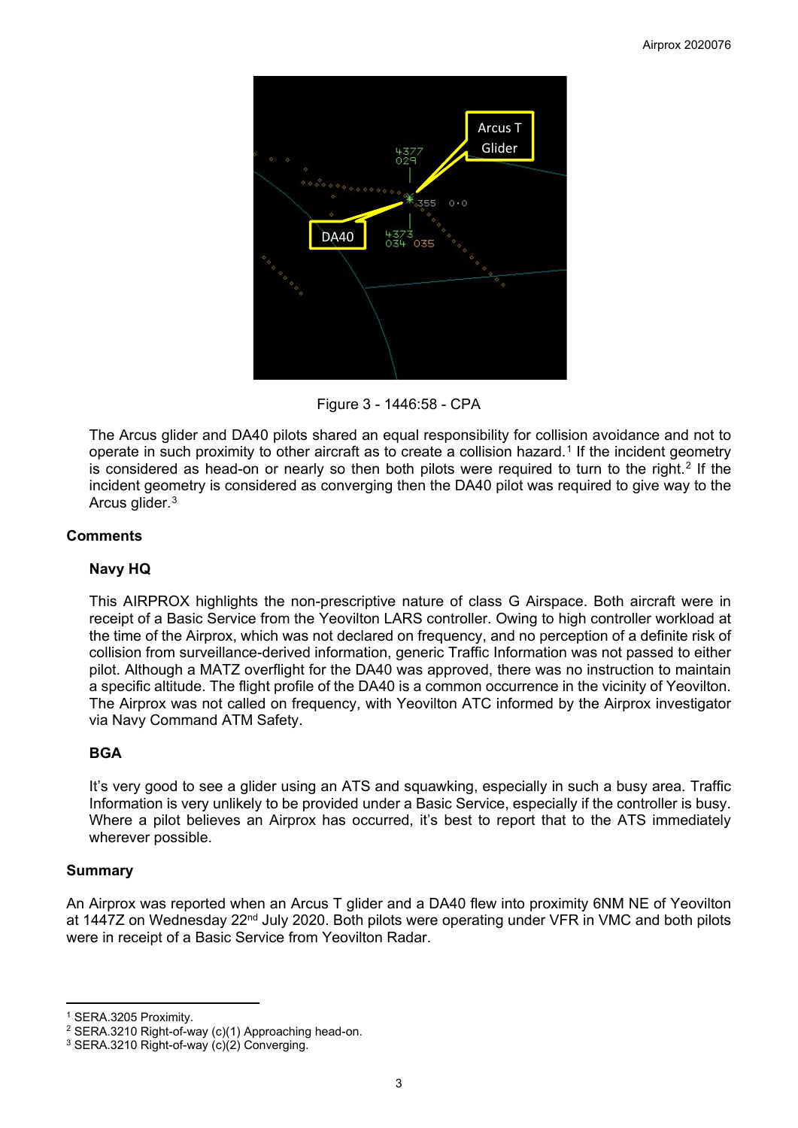

Figure 3 - 1446:58 - CPA

The Arcus glider and DA40 pilots shared an equal responsibility for collision avoidance and not to operate in such proximity to other aircraft as to create a collision hazard.<sup>[1](#page-2-0)</sup> If the incident geometry is considered as head-on or nearly so then both pilots were required to turn to the right.<sup>[2](#page-2-1)</sup> If the incident geometry is considered as converging then the DA40 pilot was required to give way to the Arcus glider.[3](#page-2-2)

# **Comments**

# **Navy HQ**

This AIRPROX highlights the non-prescriptive nature of class G Airspace. Both aircraft were in receipt of a Basic Service from the Yeovilton LARS controller. Owing to high controller workload at the time of the Airprox, which was not declared on frequency, and no perception of a definite risk of collision from surveillance-derived information, generic Traffic Information was not passed to either pilot. Although a MATZ overflight for the DA40 was approved, there was no instruction to maintain a specific altitude. The flight profile of the DA40 is a common occurrence in the vicinity of Yeovilton. The Airprox was not called on frequency, with Yeovilton ATC informed by the Airprox investigator via Navy Command ATM Safety.

# **BGA**

It's very good to see a glider using an ATS and squawking, especially in such a busy area. Traffic Information is very unlikely to be provided under a Basic Service, especially if the controller is busy. Where a pilot believes an Airprox has occurred, it's best to report that to the ATS immediately wherever possible.

## **Summary**

An Airprox was reported when an Arcus T glider and a DA40 flew into proximity 6NM NE of Yeovilton at 1447Z on Wednesday 22<sup>nd</sup> July 2020. Both pilots were operating under VFR in VMC and both pilots were in receipt of a Basic Service from Yeovilton Radar.

<span id="page-2-0"></span><sup>1</sup> SERA.3205 Proximity.

<span id="page-2-1"></span><sup>2</sup> SERA.3210 Right-of-way (c)(1) Approaching head-on.

<span id="page-2-2"></span><sup>3</sup> SERA.3210 Right-of-way (c)(2) Converging.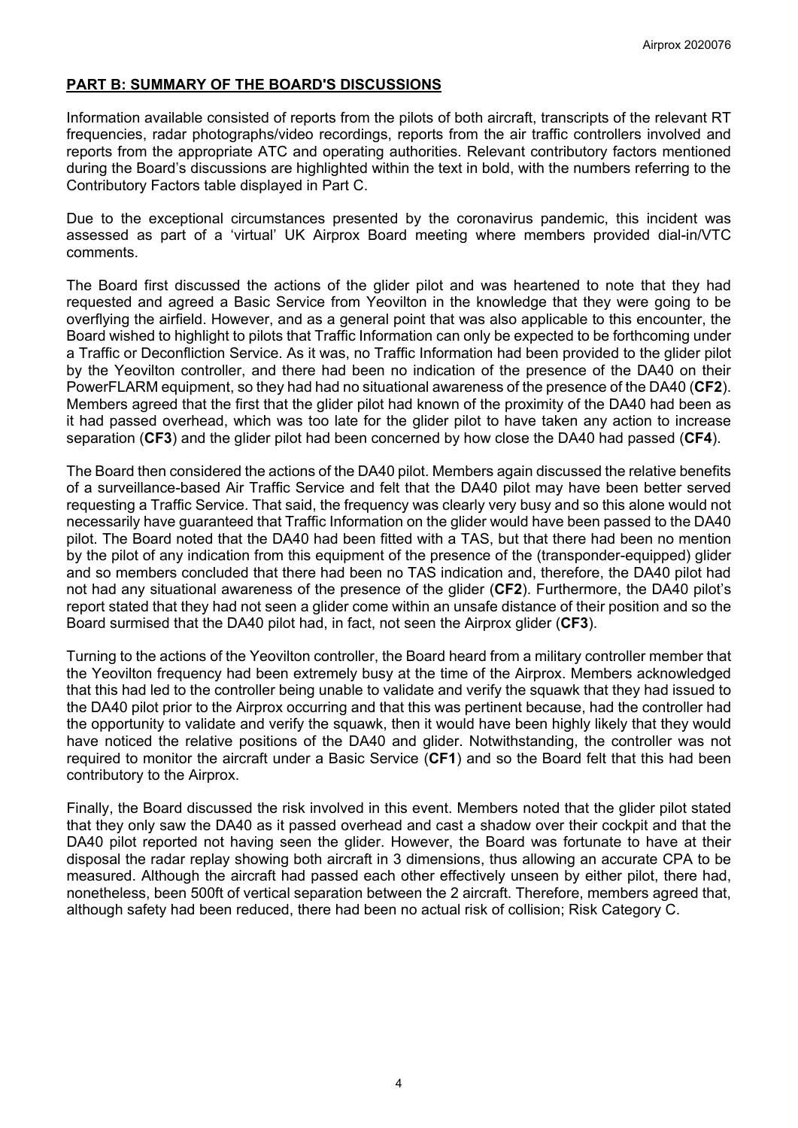## **PART B: SUMMARY OF THE BOARD'S DISCUSSIONS**

Information available consisted of reports from the pilots of both aircraft, transcripts of the relevant RT frequencies, radar photographs/video recordings, reports from the air traffic controllers involved and reports from the appropriate ATC and operating authorities. Relevant contributory factors mentioned during the Board's discussions are highlighted within the text in bold, with the numbers referring to the Contributory Factors table displayed in Part C.

Due to the exceptional circumstances presented by the coronavirus pandemic, this incident was assessed as part of a 'virtual' UK Airprox Board meeting where members provided dial-in/VTC comments.

The Board first discussed the actions of the glider pilot and was heartened to note that they had requested and agreed a Basic Service from Yeovilton in the knowledge that they were going to be overflying the airfield. However, and as a general point that was also applicable to this encounter, the Board wished to highlight to pilots that Traffic Information can only be expected to be forthcoming under a Traffic or Deconfliction Service. As it was, no Traffic Information had been provided to the glider pilot by the Yeovilton controller, and there had been no indication of the presence of the DA40 on their PowerFLARM equipment, so they had had no situational awareness of the presence of the DA40 (**CF2**). Members agreed that the first that the glider pilot had known of the proximity of the DA40 had been as it had passed overhead, which was too late for the glider pilot to have taken any action to increase separation (**CF3**) and the glider pilot had been concerned by how close the DA40 had passed (**CF4**).

The Board then considered the actions of the DA40 pilot. Members again discussed the relative benefits of a surveillance-based Air Traffic Service and felt that the DA40 pilot may have been better served requesting a Traffic Service. That said, the frequency was clearly very busy and so this alone would not necessarily have guaranteed that Traffic Information on the glider would have been passed to the DA40 pilot. The Board noted that the DA40 had been fitted with a TAS, but that there had been no mention by the pilot of any indication from this equipment of the presence of the (transponder-equipped) glider and so members concluded that there had been no TAS indication and, therefore, the DA40 pilot had not had any situational awareness of the presence of the glider (**CF2**). Furthermore, the DA40 pilot's report stated that they had not seen a glider come within an unsafe distance of their position and so the Board surmised that the DA40 pilot had, in fact, not seen the Airprox glider (**CF3**).

Turning to the actions of the Yeovilton controller, the Board heard from a military controller member that the Yeovilton frequency had been extremely busy at the time of the Airprox. Members acknowledged that this had led to the controller being unable to validate and verify the squawk that they had issued to the DA40 pilot prior to the Airprox occurring and that this was pertinent because, had the controller had the opportunity to validate and verify the squawk, then it would have been highly likely that they would have noticed the relative positions of the DA40 and glider. Notwithstanding, the controller was not required to monitor the aircraft under a Basic Service (**CF1**) and so the Board felt that this had been contributory to the Airprox.

Finally, the Board discussed the risk involved in this event. Members noted that the glider pilot stated that they only saw the DA40 as it passed overhead and cast a shadow over their cockpit and that the DA40 pilot reported not having seen the glider. However, the Board was fortunate to have at their disposal the radar replay showing both aircraft in 3 dimensions, thus allowing an accurate CPA to be measured. Although the aircraft had passed each other effectively unseen by either pilot, there had, nonetheless, been 500ft of vertical separation between the 2 aircraft. Therefore, members agreed that, although safety had been reduced, there had been no actual risk of collision; Risk Category C.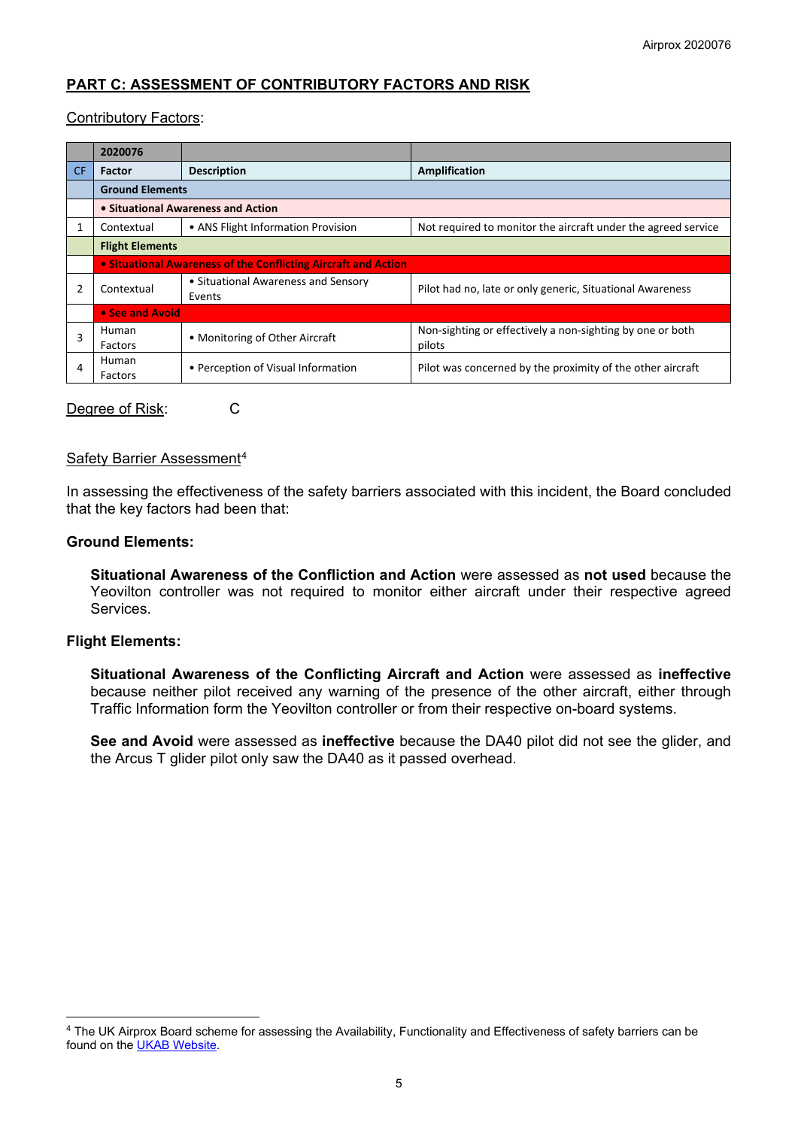# **PART C: ASSESSMENT OF CONTRIBUTORY FACTORS AND RISK**

#### Contributory Factors:

|     | 2020076                                                        |                                               |                                                                     |  |  |
|-----|----------------------------------------------------------------|-----------------------------------------------|---------------------------------------------------------------------|--|--|
| CF. | <b>Factor</b>                                                  | <b>Description</b>                            | Amplification                                                       |  |  |
|     | <b>Ground Elements</b>                                         |                                               |                                                                     |  |  |
|     | • Situational Awareness and Action                             |                                               |                                                                     |  |  |
|     | Contextual                                                     | • ANS Flight Information Provision            | Not required to monitor the aircraft under the agreed service       |  |  |
|     | <b>Flight Elements</b>                                         |                                               |                                                                     |  |  |
|     | • Situational Awareness of the Conflicting Aircraft and Action |                                               |                                                                     |  |  |
|     | Contextual                                                     | • Situational Awareness and Sensory<br>Events | Pilot had no, late or only generic, Situational Awareness           |  |  |
|     | • See and Avoid                                                |                                               |                                                                     |  |  |
| 3   | Human<br>Factors                                               | • Monitoring of Other Aircraft                | Non-sighting or effectively a non-sighting by one or both<br>pilots |  |  |
| 4   | Human<br>Factors                                               | • Perception of Visual Information            | Pilot was concerned by the proximity of the other aircraft          |  |  |

Degree of Risk: C

#### Safety Barrier Assessment[4](#page-4-0)

In assessing the effectiveness of the safety barriers associated with this incident, the Board concluded that the key factors had been that:

#### **Ground Elements:**

**Situational Awareness of the Confliction and Action** were assessed as **not used** because the Yeovilton controller was not required to monitor either aircraft under their respective agreed Services.

#### **Flight Elements:**

**Situational Awareness of the Conflicting Aircraft and Action** were assessed as **ineffective** because neither pilot received any warning of the presence of the other aircraft, either through Traffic Information form the Yeovilton controller or from their respective on-board systems.

**See and Avoid** were assessed as **ineffective** because the DA40 pilot did not see the glider, and the Arcus T glider pilot only saw the DA40 as it passed overhead.

<span id="page-4-0"></span><sup>4</sup> The UK Airprox Board scheme for assessing the Availability, Functionality and Effectiveness of safety barriers can be found on the [UKAB Website.](http://www.airproxboard.org.uk/Learn-more/Airprox-Barrier-Assessment/)